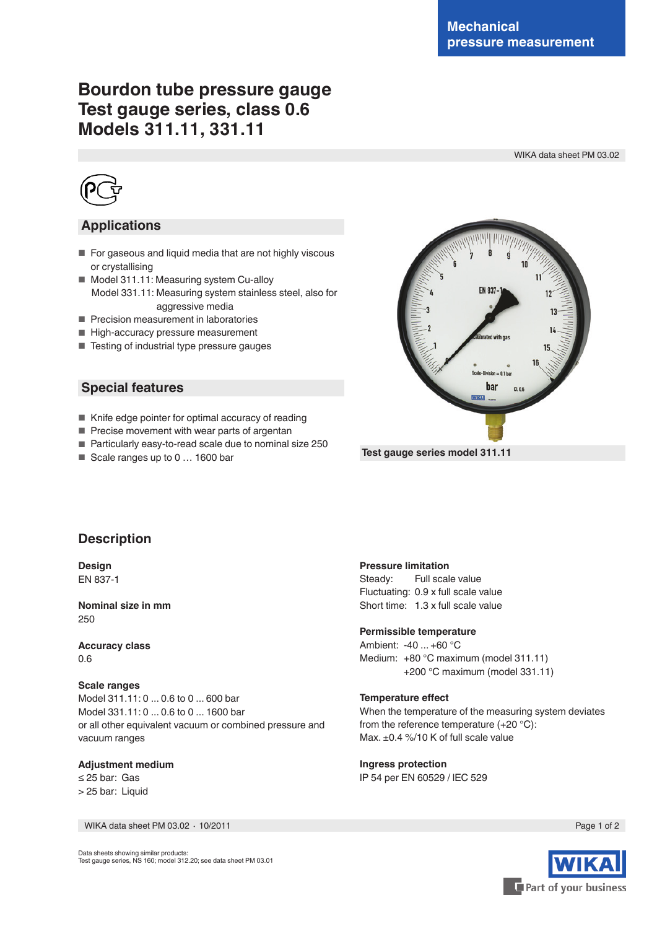# **Bourdon tube pressure gauge Test gauge series, class 0.6 Models 311.11, 331.11**

WIKA data sheet PM 03.02



## **Applications**

- For gaseous and liquid media that are not highly viscous or crystallising
- Model 311.11: Measuring system Cu-alloy Model 331.11: Measuring system stainless steel, also for aggressive media
- Precision measurement in laboratories
- High-accuracy pressure measurement
- Testing of industrial type pressure gauges

## **Special features**

- Knife edge pointer for optimal accuracy of reading
- Precise movement with wear parts of argentan
- Particularly easy-to-read scale due to nominal size 250
- Scale ranges up to 0 ... 1600 bar



 **Test gauge series model 311.11**

## **Description**

**Design** EN 837-1

**Nominal size in mm** 250

**Accuracy class** 0.6

#### **Scale ranges**

Model 311.11: 0 ... 0.6 to 0 ... 600 bar Model 331.11: 0 ... 0.6 to 0 ... 1600 bar or all other equivalent vacuum or combined pressure and vacuum ranges

### **Adjustment medium**

≤ 25 bar: Gas > 25 bar: Liquid

WIKA data sheet PM 03.02 ⋅ 10/2011 Page 1 of 2

### **Pressure limitation**

Steady: Full scale value Fluctuating: 0.9 x full scale value Short time: 1.3 x full scale value

#### **Permissible temperature**

Ambient: -40 ... +60 °C Medium: +80 °C maximum (model 311.11) +200 °C maximum (model 331.11)

#### **Temperature effect**

When the temperature of the measuring system deviates from the reference temperature (+20 °C): Max. ±0.4 %/10 K of full scale value

**Ingress protection** IP 54 per EN 60529 / lEC 529



Data sheets showing similar products: Test gauge series, NS 160; model 312.20; see data sheet PM 03.01